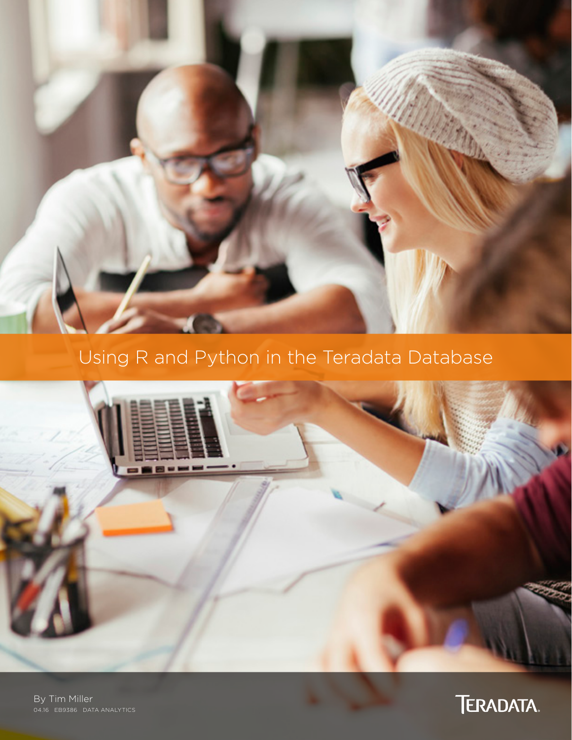

# Using R and Python in the Teradata Database



By Tim Miller 04.16 EB9386 DATA ANALYTICS

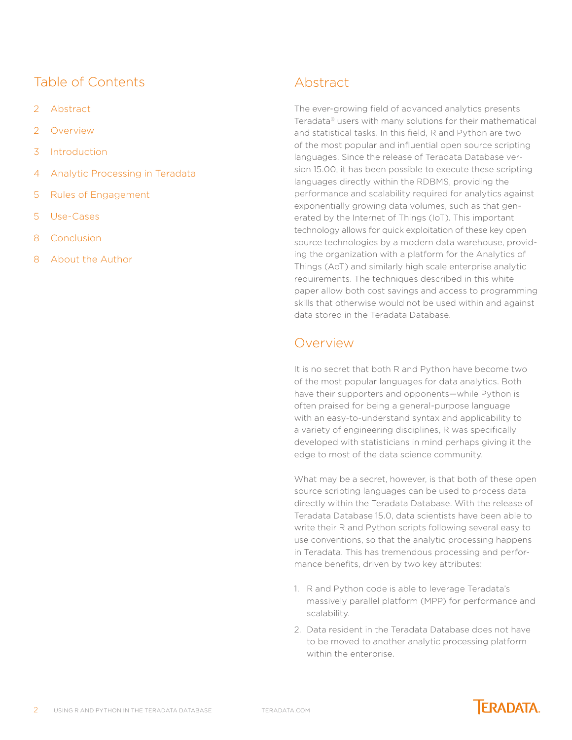## Table of Contents

- 2 Abstract
- 2 Overview
- 3 [Introduction](#page-2-0)
- 4 [Analytic Processing in Teradata](#page-3-0)
- 5 [Rules of Engagement](#page-4-0)
- 5 [Use-Cases](#page-4-0)
- 8 [Conclusion](#page-7-0)
- 8 [About the Author](#page-7-0)

## Abstract

The ever-growing field of advanced analytics presents Teradata® users with many solutions for their mathematical and statistical tasks. In this field, R and Python are two of the most popular and influential open source scripting languages. Since the release of Teradata Database version 15.00, it has been possible to execute these scripting languages directly within the RDBMS, providing the performance and scalability required for analytics against exponentially growing data volumes, such as that generated by the Internet of Things (IoT). This important technology allows for quick exploitation of these key open source technologies by a modern data warehouse, providing the organization with a platform for the Analytics of Things (AoT) and similarly high scale enterprise analytic requirements. The techniques described in this white paper allow both cost savings and access to programming skills that otherwise would not be used within and against data stored in the Teradata Database.

# Overview

It is no secret that both R and Python have become two of the most popular languages for data analytics. Both have their supporters and opponents—while Python is often praised for being a general-purpose language with an easy-to-understand syntax and applicability to a variety of engineering disciplines, R was specifically developed with statisticians in mind perhaps giving it the edge to most of the data science community.

What may be a secret, however, is that both of these open source scripting languages can be used to process data directly within the Teradata Database. With the release of Teradata Database 15.0, data scientists have been able to write their R and Python scripts following several easy to use conventions, so that the analytic processing happens in Teradata. This has tremendous processing and performance benefits, driven by two key attributes:

- 1. R and Python code is able to leverage Teradata's massively parallel platform (MPP) for performance and scalability.
- 2. Data resident in the Teradata Database does not have to be moved to another analytic processing platform within the enterprise.

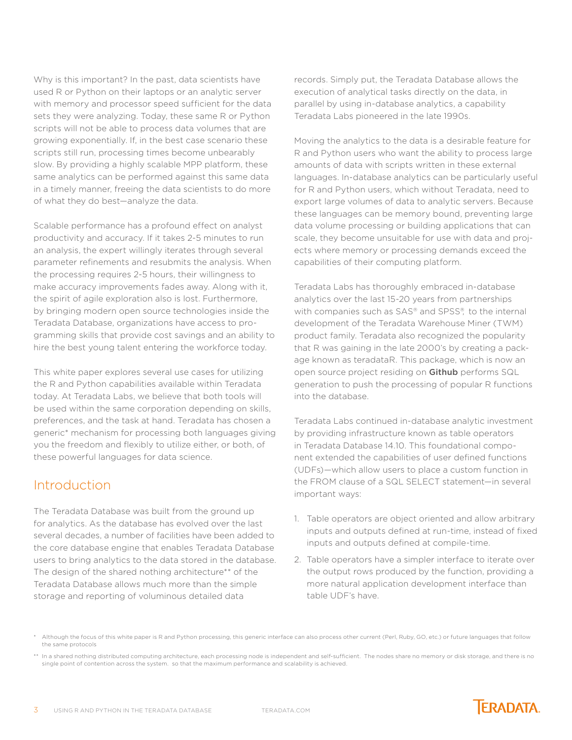<span id="page-2-0"></span>Why is this important? In the past, data scientists have used R or Python on their laptops or an analytic server with memory and processor speed sufficient for the data sets they were analyzing. Today, these same R or Python scripts will not be able to process data volumes that are growing exponentially. If, in the best case scenario these scripts still run, processing times become unbearably slow. By providing a highly scalable MPP platform, these same analytics can be performed against this same data in a timely manner, freeing the data scientists to do more of what they do best—analyze the data.

Scalable performance has a profound effect on analyst productivity and accuracy. If it takes 2-5 minutes to run an analysis, the expert willingly iterates through several parameter refinements and resubmits the analysis. When the processing requires 2-5 hours, their willingness to make accuracy improvements fades away. Along with it, the spirit of agile exploration also is lost. Furthermore, by bringing modern open source technologies inside the Teradata Database, organizations have access to programming skills that provide cost savings and an ability to hire the best young talent entering the workforce today.

This white paper explores several use cases for utilizing the R and Python capabilities available within Teradata today. At Teradata Labs, we believe that both tools will be used within the same corporation depending on skills, preferences, and the task at hand. Teradata has chosen a generic\* mechanism for processing both languages giving you the freedom and flexibly to utilize either, or both, of these powerful languages for data science.

### **Introduction**

The Teradata Database was built from the ground up for analytics. As the database has evolved over the last several decades, a number of facilities have been added to the core database engine that enables Teradata Database users to bring analytics to the data stored in the database. The design of the shared nothing architecture\*\* of the Teradata Database allows much more than the simple storage and reporting of voluminous detailed data

records. Simply put, the Teradata Database allows the execution of analytical tasks directly on the data, in parallel by using in-database analytics, a capability Teradata Labs pioneered in the late 1990s.

Moving the analytics to the data is a desirable feature for R and Python users who want the ability to process large amounts of data with scripts written in these external languages. In-database analytics can be particularly useful for R and Python users, which without Teradata, need to export large volumes of data to analytic servers. Because these languages can be memory bound, preventing large data volume processing or building applications that can scale, they become unsuitable for use with data and projects where memory or processing demands exceed the capabilities of their computing platform.

Teradata Labs has thoroughly embraced in-database analytics over the last 15-20 years from partnerships with companies such as SAS® and SPSS®, to the internal development of the Teradata Warehouse Miner (TWM) product family. Teradata also recognized the popularity that R was gaining in the late 2000's by creating a package known as teradataR. This package, which is now an open source project residing on [Github](http://github.com/Teradata/teradataR) performs SQL generation to push the processing of popular R functions into the database.

Teradata Labs continued in-database analytic investment by providing infrastructure known as table operators in Teradata Database 14.10. This foundational component extended the capabilities of user defined functions (UDFs)—which allow users to place a custom function in the FROM clause of a SQL SELECT statement—in several important ways:

- 1. Table operators are object oriented and allow arbitrary inputs and outputs defined at run-time, instead of fixed inputs and outputs defined at compile-time.
- 2. Table operators have a simpler interface to iterate over the output rows produced by the function, providing a more natural application development interface than table UDF's have.

Although the focus of this white paper is R and Python processing, this generic interface can also process other current (Perl, Ruby, GO, etc.) or future languages that follow the same protocols

<sup>\*\*</sup> In a shared nothing distributed computing architecture, each processing node is independent and self-sufficient. The nodes share no memory or disk storage, and there is no single point of contention across the system. so that the maximum performance and scalability is achieved.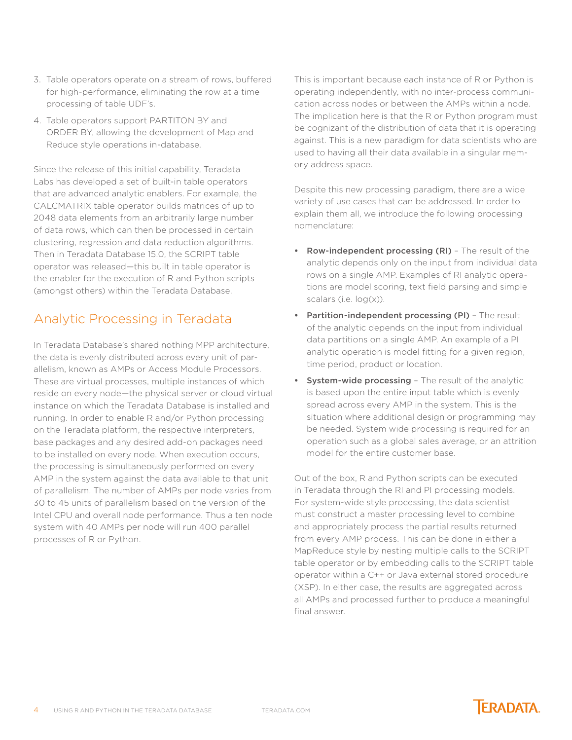- <span id="page-3-0"></span>3. Table operators operate on a stream of rows, buffered for high-performance, eliminating the row at a time processing of table UDF's.
- 4. Table operators support PARTITON BY and ORDER BY, allowing the development of Map and Reduce style operations in-database.

Since the release of this initial capability, Teradata Labs has developed a set of built-in table operators that are advanced analytic enablers. For example, the CALCMATRIX table operator builds matrices of up to 2048 data elements from an arbitrarily large number of data rows, which can then be processed in certain clustering, regression and data reduction algorithms. Then in Teradata Database 15.0, the SCRIPT table operator was released—this built in table operator is the enabler for the execution of R and Python scripts (amongst others) within the Teradata Database.

# Analytic Processing in Teradata

In Teradata Database's shared nothing MPP architecture, the data is evenly distributed across every unit of parallelism, known as AMPs or Access Module Processors. These are virtual processes, multiple instances of which reside on every node—the physical server or cloud virtual instance on which the Teradata Database is installed and running. In order to enable R and/or Python processing on the Teradata platform, the respective interpreters, base packages and any desired add-on packages need to be installed on every node. When execution occurs, the processing is simultaneously performed on every AMP in the system against the data available to that unit of parallelism. The number of AMPs per node varies from 30 to 45 units of parallelism based on the version of the Intel CPU and overall node performance. Thus a ten node system with 40 AMPs per node will run 400 parallel processes of R or Python.

This is important because each instance of R or Python is operating independently, with no inter-process communication across nodes or between the AMPs within a node. The implication here is that the R or Python program must be cognizant of the distribution of data that it is operating against. This is a new paradigm for data scientists who are used to having all their data available in a singular memory address space.

Despite this new processing paradigm, there are a wide variety of use cases that can be addressed. In order to explain them all, we introduce the following processing nomenclature:

- **•** Row-independent processing (RI) The result of the analytic depends only on the input from individual data rows on a single AMP. Examples of RI analytic operations are model scoring, text field parsing and simple scalars (i.e. log(x)).
- **•** Partition-independent processing (PI) The result of the analytic depends on the input from individual data partitions on a single AMP. An example of a PI analytic operation is model fitting for a given region, time period, product or location.
- **•** System-wide processing The result of the analytic is based upon the entire input table which is evenly spread across every AMP in the system. This is the situation where additional design or programming may be needed. System wide processing is required for an operation such as a global sales average, or an attrition model for the entire customer base.

Out of the box, R and Python scripts can be executed in Teradata through the RI and PI processing models. For system-wide style processing, the data scientist must construct a master processing level to combine and appropriately process the partial results returned from every AMP process. This can be done in either a MapReduce style by nesting multiple calls to the SCRIPT table operator or by embedding calls to the SCRIPT table operator within a C++ or Java external stored procedure (XSP). In either case, the results are aggregated across all AMPs and processed further to produce a meaningful final answer.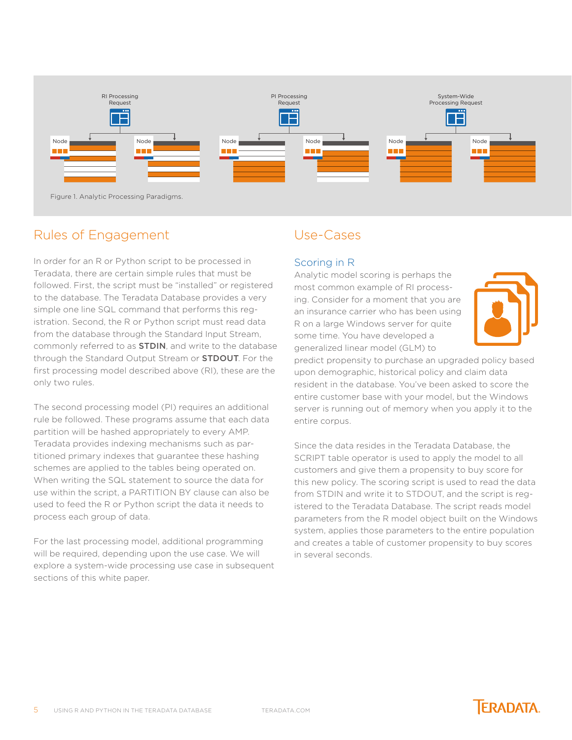<span id="page-4-0"></span>

Figure 1. Analytic Processing Paradigms.

## Rules of Engagement

In order for an R or Python script to be processed in Teradata, there are certain simple rules that must be followed. First, the script must be "installed" or registered to the database. The Teradata Database provides a very simple one line SQL command that performs this registration. Second, the R or Python script must read data from the database through the Standard Input Stream, commonly referred to as [STDIN](https://en.wikipedia.org/wiki/Standard_streams), and write to the database through the Standard Output Stream or **[STDOUT](https://en.wikipedia.org/wiki/Standard_streams)**. For the first processing model described above (RI), these are the only two rules.

The second processing model (PI) requires an additional rule be followed. These programs assume that each data partition will be hashed appropriately to every AMP. Teradata provides indexing mechanisms such as partitioned primary indexes that guarantee these hashing schemes are applied to the tables being operated on. When writing the SQL statement to source the data for use within the script, a PARTITION BY clause can also be used to feed the R or Python script the data it needs to process each group of data.

For the last processing model, additional programming will be required, depending upon the use case. We will explore a system-wide processing use case in subsequent sections of this white paper.

# Use-Cases

#### Scoring in R

Analytic model scoring is perhaps the most common example of RI processing. Consider for a moment that you are an insurance carrier who has been using R on a large Windows server for quite some time. You have developed a generalized linear model (GLM) to



predict propensity to purchase an upgraded policy based upon demographic, historical policy and claim data resident in the database. You've been asked to score the entire customer base with your model, but the Windows server is running out of memory when you apply it to the entire corpus.

Since the data resides in the Teradata Database, the SCRIPT table operator is used to apply the model to all customers and give them a propensity to buy score for this new policy. The scoring script is used to read the data from STDIN and write it to STDOUT, and the script is registered to the Teradata Database. The script reads model parameters from the R model object built on the Windows system, applies those parameters to the entire population and creates a table of customer propensity to buy scores in several seconds.

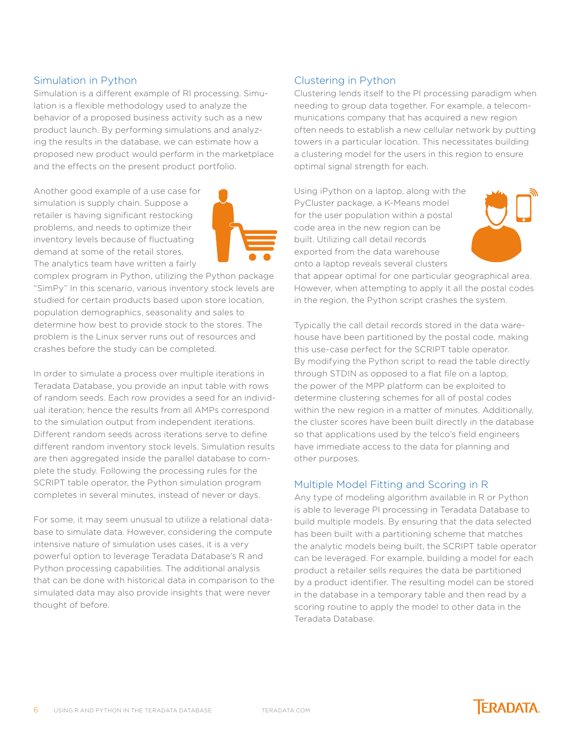#### Simulation in Python

Simulation is a different example of RI processing. Simulation is a flexible methodology used to analyze the behavior of a proposed business activity such as a new product launch. By performing simulations and analyzing the results in the database, we can estimate how a proposed new product would perform in the marketplace and the effects on the present product portfolio.

Another good example of a use case for simulation is supply chain. Suppose a retailer is having significant restocking problems, and needs to optimize their inventory levels because of fluctuating demand at some of the retail stores. The analytics team have written a fairly



complex program in Python, utilizing the Python package "SimPy" In this scenario, various inventory stock levels are studied for certain products based upon store location, population demographics, seasonality and sales to determine how best to provide stock to the stores. The problem is the Linux server runs out of resources and crashes before the study can be completed.

In order to simulate a process over multiple iterations in Teradata Database, you provide an input table with rows of random seeds. Each row provides a seed for an individual iteration; hence the results from all AMPs correspond to the simulation output from independent iterations. Different random seeds across iterations serve to define different random inventory stock levels. Simulation results are then aggregated inside the parallel database to complete the study. Following the processing rules for the SCRIPT table operator, the Python simulation program completes in several minutes, instead of never or days.

For some, it may seem unusual to utilize a relational database to simulate data. However, considering the compute intensive nature of simulation uses cases, it is a very powerful option to leverage Teradata Database's R and Python processing capabilities. The additional analysis that can be done with historical data in comparison to the simulated data may also provide insights that were never thought of before.

#### Clustering in Python

Clustering lends itself to the PI processing paradigm when needing to group data together. For example, a telecommunications company that has acquired a new region often needs to establish a new cellular network by putting towers in a particular location. This necessitates building a clustering model for the users in this region to ensure optimal signal strength for each.

Using iPython on a laptop, along with the PyCluster package, a K-Means model for the user population within a postal code area in the new region can be built. Utilizing call detail records exported from the data warehouse onto a laptop reveals several clusters



that appear optimal for one particular geographical area. However, when attempting to apply it all the postal codes in the region, the Python script crashes the system.

Typically the call detail records stored in the data warehouse have been partitioned by the postal code, making this use-case perfect for the SCRIPT table operator. By modifying the Python script to read the table directly through STDIN as opposed to a flat file on a laptop, the power of the MPP platform can be exploited to determine clustering schemes for all of postal codes within the new region in a matter of minutes. Additionally, the cluster scores have been built directly in the database so that applications used by the telco's field engineers have immediate access to the data for planning and other purposes.

#### Multiple Model Fitting and Scoring in R

Any type of modeling algorithm available in R or Python is able to leverage PI processing in Teradata Database to build multiple models. By ensuring that the data selected has been built with a partitioning scheme that matches the analytic models being built, the SCRIPT table operator can be leveraged. For example, building a model for each product a retailer sells requires the data be partitioned by a product identifier. The resulting model can be stored in the database in a temporary table and then read by a scoring routine to apply the model to other data in the Teradata Database.

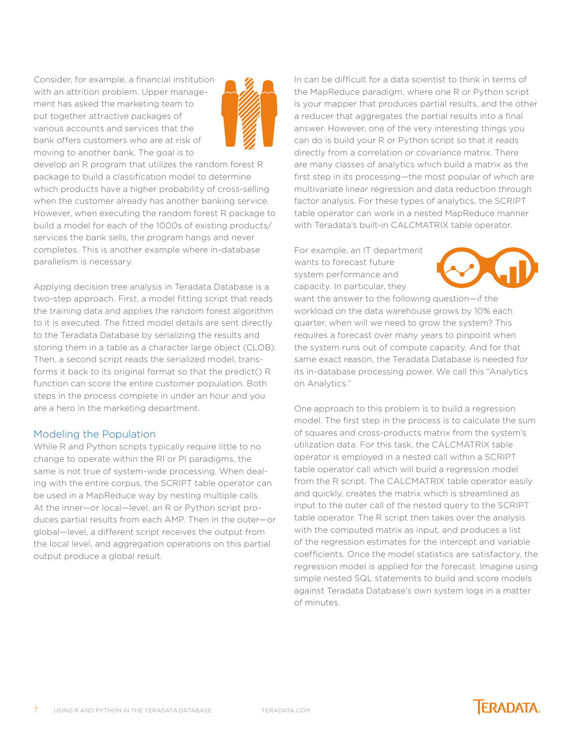Consider, for example, a financial institution with an attrition problem. Upper management has asked the marketing team to put together attractive packages of various accounts and services that the bank offers customers who are at risk of moving to another bank. The goal is to



develop an R program that utilizes the random forest R package to build a classification model to determine which products have a higher probability of cross-selling when the customer already has another banking service. However, when executing the random forest R package to build a model for each of the 1000s of existing products/ services the bank sells, the program hangs and never completes. This is another example where in-database parallelism is necessary.

Applying decision tree analysis in Teradata Database is a two-step approach. First, a model fitting script that reads the training data and applies the random forest algorithm to it is executed. The fitted model details are sent directly to the Teradata Database by serializing the results and storing them in a table as a character large object (CLOB). Then, a second script reads the serialized model, transforms it back to its original format so that the predict() R function can score the entire customer population. Both steps in the process complete in under an hour and you are a hero in the marketing department.

#### Modeling the Population

While R and Python scripts typically require little to no change to operate within the RI or PI paradigms, the same is not true of system-wide processing. When dealing with the entire corpus, the SCRIPT table operator can be used in a MapReduce way by nesting multiple calls. At the inner—or local—level, an R or Python script produces partial results from each AMP. Then in the outer—or global—level, a different script receives the output from the local level, and aggregation operations on this partial output produce a global result.

In can be difficult for a data scientist to think in terms of the MapReduce paradigm, where one R or Python script is your mapper that produces partial results, and the other a reducer that aggregates the partial results into a final answer. However, one of the very interesting things you can do is build your R or Python script so that it reads directly from a correlation or covariance matrix. There are many classes of analytics which build a matrix as the first step in its processing—the most popular of which are multivariate linear regression and data reduction through factor analysis. For these types of analytics, the SCRIPT table operator can work in a nested MapReduce manner with Teradata's built-in CALCMATRIX table operator.

For example, an IT department wants to forecast future system performance and capacity. In particular, they



want the answer to the following question—if the workload on the data warehouse grows by 10% each quarter, when will we need to grow the system? This requires a forecast over many years to pinpoint when the system runs out of compute capacity. And for that same exact reason, the Teradata Database is needed for its in-database processing power. We call this "Analytics on Analytics."

One approach to this problem is to build a regression model. The first step in the process is to calculate the sum of squares and cross-products matrix from the system's utilization data. For this task, the CALCMATRIX table operator is employed in a nested call within a SCRIPT table operator call which will build a regression model from the R script. The CALCMATRIX table operator easily and quickly, creates the matrix which is streamlined as input to the outer call of the nested query to the SCRIPT table operator. The R script then takes over the analysis with the computed matrix as input, and produces a list of the regression estimates for the intercept and variable coefficients. Once the model statistics are satisfactory, the regression model is applied for the forecast. Imagine using simple nested SQL statements to build and score models against Teradata Database's own system logs in a matter of minutes.